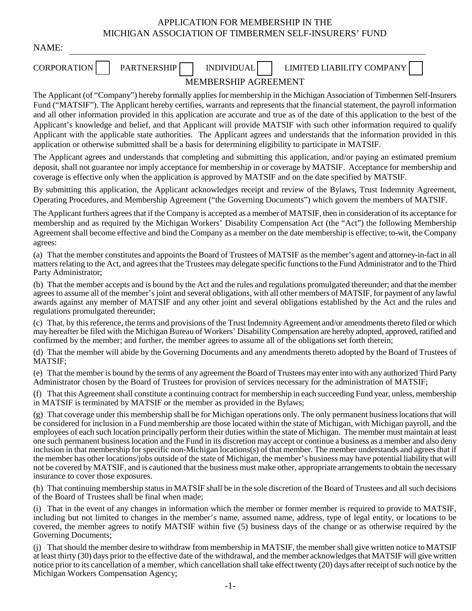APPLICATION FOR MEMBERSHIP IN THE MICHIGAN ASSOCIATION OF TIMBERMEN SELF-INSURERS' FUND

| NAME:                                                                                                                                                                                                                                                                                                                                                                                                                                                                                                                                                                                                                                                                                                                                                                                                                                                                                                                                                                                    |
|------------------------------------------------------------------------------------------------------------------------------------------------------------------------------------------------------------------------------------------------------------------------------------------------------------------------------------------------------------------------------------------------------------------------------------------------------------------------------------------------------------------------------------------------------------------------------------------------------------------------------------------------------------------------------------------------------------------------------------------------------------------------------------------------------------------------------------------------------------------------------------------------------------------------------------------------------------------------------------------|
| <b>CORPORATION</b><br>PARTNERSHIP<br><b>INDIVIDUAL</b><br>LIMITED LIABILITY COMPANY<br>MEMBERSHIP AGREEMENT                                                                                                                                                                                                                                                                                                                                                                                                                                                                                                                                                                                                                                                                                                                                                                                                                                                                              |
| The Applicant (of "Company") hereby formally applies for membership in the Michigan Association of Timbermen Self-Insurers<br>Fund ("MATSIF"). The Applicant hereby certifies, warrants and represents that the financial statement, the payroll information<br>and all other information provided in this application are accurate and true as of the date of this application to the best of the<br>Applicant's knowledge and belief, and that Applicant will provide MATSIF with such other information required to qualify<br>Applicant with the applicable state authorities. The Applicant agrees and understands that the information provided in this<br>application or otherwise submitted shall be a basis for determining eligibility to participate in MATSIF.                                                                                                                                                                                                               |
| The Applicant agrees and understands that completing and submitting this application, and/or paying an estimated premium<br>deposit, shall not guarantee nor imply acceptance for membership in or coverage by MATSIF. Acceptance for membership and<br>coverage is effective only when the application is approved by MATSIF and on the date specified by MATSIF.                                                                                                                                                                                                                                                                                                                                                                                                                                                                                                                                                                                                                       |
| By submitting this application, the Applicant acknowledges receipt and review of the Bylaws, Trust Indemnity Agreement,<br>Operating Procedures, and Membership Agreement ("the Governing Documents") which govern the members of MATSIF.                                                                                                                                                                                                                                                                                                                                                                                                                                                                                                                                                                                                                                                                                                                                                |
| The Applicant furthers agrees that if the Company is accepted as a member of MATSIF, then in consideration of its acceptance for<br>membership and as required by the Michigan Workers' Disability Compensation Act (the "Act") the following Membership<br>Agreement shall become effective and bind the Company as a member on the date membership is effective; to-wit, the Company<br>agrees:                                                                                                                                                                                                                                                                                                                                                                                                                                                                                                                                                                                        |
| (a) That the member constitutes and appoints the Board of Trustees of MATSIF as the member's agent and attorney-in-fact in all<br>matters relating to the Act, and agrees that the Trustees may delegate specific functions to the Fund Administrator and to the Third<br>Party Administrator;                                                                                                                                                                                                                                                                                                                                                                                                                                                                                                                                                                                                                                                                                           |
| (b) That the member accepts and is bound by the Act and the rules and regulations promulgated thereunder; and that the member<br>agrees to assume all of the member's joint and several obligations, with all other members of MATSIF, for payment of any lawful<br>awards against any member of MATSIF and any other joint and several obligations established by the Act and the rules and<br>regulations promulgated thereunder;                                                                                                                                                                                                                                                                                                                                                                                                                                                                                                                                                      |
| (c) That, by this reference, the terms and provisions of the Trust Indemnity Agreement and/or amendments thereto filed or which<br>may hereafter be filed with the Michigan Bureau of Workers' Disability Compensation are hereby adopted, approved, ratified and<br>confirmed by the member; and further, the member agrees to assume all of the obligations set forth therein;                                                                                                                                                                                                                                                                                                                                                                                                                                                                                                                                                                                                         |
| (d) That the member will abide by the Governing Documents and any amendments thereto adopted by the Board of Trustees of<br>MATSIF;                                                                                                                                                                                                                                                                                                                                                                                                                                                                                                                                                                                                                                                                                                                                                                                                                                                      |
| (e) That the member is bound by the terms of any agreement the Board of Trustees may enter into with any authorized Third Party<br>Administrator chosen by the Board of Trustees for provision of services necessary for the administration of MATSIF;                                                                                                                                                                                                                                                                                                                                                                                                                                                                                                                                                                                                                                                                                                                                   |
| (f) That this Agreement shall constitute a continuing contract for membership in each succeeding Fund year, unless, membership<br>in MATSIF is terminated by MATSIF or the member as provided in the Bylaws;                                                                                                                                                                                                                                                                                                                                                                                                                                                                                                                                                                                                                                                                                                                                                                             |
| (g) That coverage under this membership shall be for Michigan operations only. The only permanent business locations that will<br>be considered for inclusion in a Fund membership are those located within the state of Michigan, with Michigan payroll, and the<br>employees of each such location principally perform their duties within the state of Michigan. The member must maintain at least<br>one such permanent business location and the Fund in its discretion may accept or continue a business as a member and also deny<br>inclusion in that membership for specific non-Michigan locations(s) of that member. The member understands and agrees that if<br>the member has other locations/jobs outside of the state of Michigan, the member's business may have potential liability that will<br>not be covered by MATSIF, and is cautioned that the business must make other, appropriate arrangements to obtain the necessary<br>insurance to cover those exposures. |
| (h) That continuing membership status in MATSIF shall be in the sole discretion of the Board of Trustees and all such decisions<br>of the Board of Trustees shall be final when made;                                                                                                                                                                                                                                                                                                                                                                                                                                                                                                                                                                                                                                                                                                                                                                                                    |
| (i) That in the event of any changes in information which the member or former member is required to provide to MATSIF,<br>including but not limited to changes in the member's name, assumed name, address, type of legal entity, or locations to be<br>covered, the member agrees to notify MATSIF within five (5) business days of the change or as otherwise required by the<br>Governing Documents;                                                                                                                                                                                                                                                                                                                                                                                                                                                                                                                                                                                 |
| (j) That should the member desire to withdraw from membership in MATSIF, the member shall give written notice to MATSIF<br>at least thirty (30) days prior to the effective date of the withdrawal, and the member acknowledges that MATSIF will give written<br>notice prior to its cancellation of a member, which cancellation shall take effect twenty (20) days after receipt of such notice by the                                                                                                                                                                                                                                                                                                                                                                                                                                                                                                                                                                                 |

Michigan Workers Compensation Agency;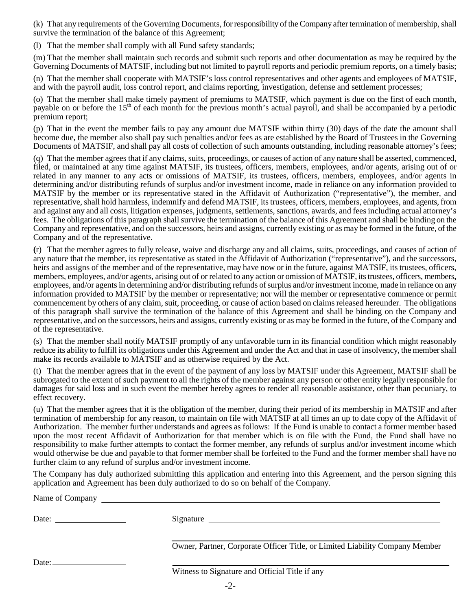(k) That any requirements of the Governing Documents, for responsibility of the Company after termination of membership, shall survive the termination of the balance of this Agreement;

(l) That the member shall comply with all Fund safety standards;

(m) That the member shall maintain such records and submit such reports and other documentation as may be required by the Governing Documents of MATSIF, including but not limited to payroll reports and periodic premium reports, on a timely basis;

(n) That the member shall cooperate with MATSIF's loss control representatives and other agents and employees of MATSIF, and with the payroll audit, loss control report, and claims reporting, investigation, defense and settlement processes;

(o) That the member shall make timely payment of premiums to MATSIF, which payment is due on the first of each month, payable on or before the 15th of each month for the previous month's actual payroll, and shall be accompanied by a periodic premium report;

(p) That in the event the member fails to pay any amount due MATSIF within thirty (30) days of the date the amount shall become due, the member also shall pay such penalties and/or fees as are established by the Board of Trustees in the Governing Documents of MATSIF, and shall pay all costs of collection of such amounts outstanding, including reasonable attorney's fees;

(q) That the member agrees that if any claims, suits, proceedings, or causes of action of any nature shall be asserted, commenced, filed, or maintained at any time against MATSIF, its trustees, officers, members, employees, and/or agents, arising out of or related in any manner to any acts or omissions of MATSIF, its trustees, officers, members, employees, and/or agents in determining and/or distributing refunds of surplus and/or investment income, made in reliance on any information provided to MATSIF by the member or its representative stated in the Affidavit of Authorization ("representative"), the member, and representative, shall hold harmless, indemnify and defend MATSIF, its trustees, officers, members, employees, and agents, from and against any and all costs, litigation expenses, judgments, settlements, sanctions, awards, and fees including actual attorney's fees. The obligations of this paragraph shall survive the termination of the balance of this Agreement and shall be binding on the Company and representative, and on the successors, heirs and assigns, currently existing or as may be formed in the future, of the Company and of the representative.

**(**r) That the member agrees to fully release, waive and discharge any and all claims, suits, proceedings, and causes of action of any nature that the member, its representative as stated in the Affidavit of Authorization ("representative"), and the successors, heirs and assigns of the member and of the representative, may have now or in the future, against MATSIF, its trustees, officers, members, employees, and/or agents, arising out of or related to any action or omission of MATSIF, its trustees, officers, members**,** employees, and/or agents in determining and/or distributing refunds of surplus and/or investment income, made in reliance on any information provided to MATSIF by the member or representative; nor will the member or representative commence or permit commencement by others of any claim, suit, proceeding, or cause of action based on claims released hereunder. The obligations of this paragraph shall survive the termination of the balance of this Agreement and shall be binding on the Company and representative, and on the successors, heirs and assigns, currently existing or as may be formed in the future, of the Company and of the representative.

(s) That the member shall notify MATSIF promptly of any unfavorable turn in its financial condition which might reasonably reduce its ability to fulfill its obligations under this Agreement and under the Act and that in case of insolvency, the member shall make its records available to MATSIF and as otherwise required by the Act.

(t) That the member agrees that in the event of the payment of any loss by MATSIF under this Agreement, MATSIF shall be subrogated to the extent of such payment to all the rights of the member against any person or other entity legally responsible for damages for said loss and in such event the member hereby agrees to render all reasonable assistance, other than pecuniary, to effect recovery.

(u) That the member agrees that it is the obligation of the member, during their period of its membership in MATSIF and after termination of membership for any reason, to maintain on file with MATSIF at all times an up to date copy of the Affidavit of Authorization. The member further understands and agrees as follows: If the Fund is unable to contact a former member based upon the most recent Affidavit of Authorization for that member which is on file with the Fund, the Fund shall have no responsibility to make further attempts to contact the former member, any refunds of surplus and/or investment income which would otherwise be due and payable to that former member shall be forfeited to the Fund and the former member shall have no further claim to any refund of surplus and/or investment income.

The Company has duly authorized submitting this application and entering into this Agreement, and the person signing this application and Agreement has been duly authorized to do so on behalf of the Company.

Name of Company Date: Signature Owner, Partner, Corporate Officer Title, or Limited Liability Company Member Date:

Witness to Signature and Official Title if any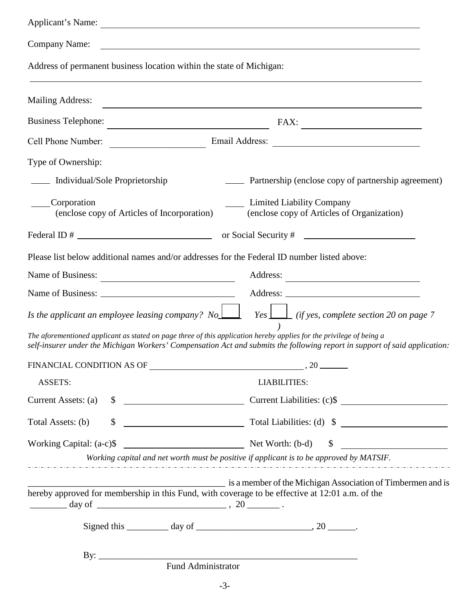| Company Name:                                                                                                                                                                                                                                                                                                                                                                               | <u> 1989 - Johann John Stone, markin sanat masjid ayyında bir alan bir alan bir alan bir alan bir alan bir alan b</u>                                                                                                         |
|---------------------------------------------------------------------------------------------------------------------------------------------------------------------------------------------------------------------------------------------------------------------------------------------------------------------------------------------------------------------------------------------|-------------------------------------------------------------------------------------------------------------------------------------------------------------------------------------------------------------------------------|
| Address of permanent business location within the state of Michigan:                                                                                                                                                                                                                                                                                                                        |                                                                                                                                                                                                                               |
| <b>Mailing Address:</b>                                                                                                                                                                                                                                                                                                                                                                     | <u> 1989 - Johann Stoff, deutscher Stoff, der Stoff, der Stoff, der Stoff, der Stoff, der Stoff, der Stoff, der S</u>                                                                                                         |
| <b>Business Telephone:</b><br><u> 1989 - Johann Barn, mars eta bainar eta bat erroman erroman erroman erroman erroman erroman erroman erroman e</u>                                                                                                                                                                                                                                         | $\text{FAX:}\n \begin{tabular}{ c c c c } \hline \multicolumn{3}{ c }{\text{FAX:}} \multicolumn{3}{ c }{\text{--}}\n \end{tabular}$                                                                                           |
| Cell Phone Number:                                                                                                                                                                                                                                                                                                                                                                          | Email Address: 2008. Contract of the Contract of the Contract of the Contract of the Contract of the Contract of the Contract of the Contract of the Contract of the Contract of the Contract of the Contract of the Contract |
| Type of Ownership:                                                                                                                                                                                                                                                                                                                                                                          |                                                                                                                                                                                                                               |
| ___ Individual/Sole Proprietorship                                                                                                                                                                                                                                                                                                                                                          | <b>Example 1</b> Partnership (enclose copy of partnership agreement)                                                                                                                                                          |
| Corporation<br>(enclose copy of Articles of Incorporation)                                                                                                                                                                                                                                                                                                                                  | <b>Limited Liability Company</b><br>(enclose copy of Articles of Organization)                                                                                                                                                |
|                                                                                                                                                                                                                                                                                                                                                                                             |                                                                                                                                                                                                                               |
| Please list below additional names and/or addresses for the Federal ID number listed above:                                                                                                                                                                                                                                                                                                 |                                                                                                                                                                                                                               |
| Name of Business:                                                                                                                                                                                                                                                                                                                                                                           | Address:                                                                                                                                                                                                                      |
|                                                                                                                                                                                                                                                                                                                                                                                             |                                                                                                                                                                                                                               |
|                                                                                                                                                                                                                                                                                                                                                                                             | Is the applicant an employee leasing company? No $\Box$ Yes $\Box$ (if yes, complete section 20 on page 7                                                                                                                     |
| The aforementioned applicant as stated on page three of this application hereby applies for the privilege of being a                                                                                                                                                                                                                                                                        | self-insurer under the Michigan Workers' Compensation Act and submits the following report in support of said application:                                                                                                    |
|                                                                                                                                                                                                                                                                                                                                                                                             |                                                                                                                                                                                                                               |
| ASSETS:                                                                                                                                                                                                                                                                                                                                                                                     | <b>LIABILITIES:</b>                                                                                                                                                                                                           |
| Current Assets: (a)                                                                                                                                                                                                                                                                                                                                                                         | $\frac{1}{2}$ Current Liabilities: (c) $\frac{1}{2}$                                                                                                                                                                          |
| \$<br>Total Assets: (b)                                                                                                                                                                                                                                                                                                                                                                     | Total Liabilities: (d) \$                                                                                                                                                                                                     |
|                                                                                                                                                                                                                                                                                                                                                                                             |                                                                                                                                                                                                                               |
|                                                                                                                                                                                                                                                                                                                                                                                             | Working capital and net worth must be positive if applicant is to be approved by MATSIF.                                                                                                                                      |
| hereby approved for membership in this Fund, with coverage to be effective at 12:01 a.m. of the<br>$\frac{1}{2}$ day of $\frac{1}{2}$ day of $\frac{1}{2}$ day of $\frac{1}{2}$ day of $\frac{1}{2}$ day of $\frac{1}{2}$ and $\frac{1}{2}$ and $\frac{1}{2}$ and $\frac{1}{2}$ and $\frac{1}{2}$ and $\frac{1}{2}$ and $\frac{1}{2}$ and $\frac{1}{2}$ and $\frac{1}{2}$ and $\frac{1}{2}$ | is a member of the Michigan Association of Timbermen and is                                                                                                                                                                   |
| Signed this $\_\_\_\_\_$ day of $\_\_\_\_\_\_\_$ , 20 $\_\_\_\_\_$ .                                                                                                                                                                                                                                                                                                                        |                                                                                                                                                                                                                               |
| By: $\overline{\phantom{a}}$<br>Fund Administrator                                                                                                                                                                                                                                                                                                                                          |                                                                                                                                                                                                                               |
|                                                                                                                                                                                                                                                                                                                                                                                             |                                                                                                                                                                                                                               |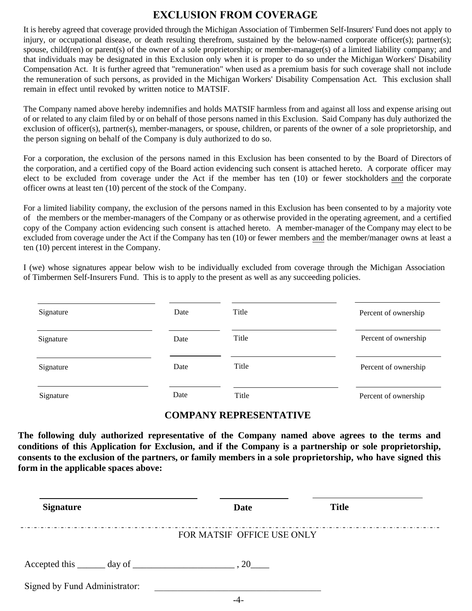### **EXCLUSION FROM COVERAGE**

It is hereby agreed that coverage provided through the Michigan Association of Timbermen Self-Insurers' Fund does not apply to injury, or occupational disease, or death resulting therefrom, sustained by the below-named corporate officer(s); partner(s); spouse, child(ren) or parent(s) of the owner of a sole proprietorship; or member-manager(s) of a limited liability company; and that individuals may be designated in this Exclusion only when it is proper to do so under the Michigan Workers' Disability Compensation Act. It is further agreed that "remuneration" when used as a premium basis for such coverage shall not include the remuneration of such persons, as provided in the Michigan Workers' Disability Compensation Act. This exclusion shall remain in effect until revoked by written notice to MATSIF.

The Company named above hereby indemnifies and holds MATSIF harmless from and against all loss and expense arising out of or related to any claim filed by or on behalf of those persons named in this Exclusion. Said Company has duly authorized the exclusion of officer(s), partner(s), member-managers, or spouse, children, or parents of the owner of a sole proprietorship, and the person signing on behalf of the Company is duly authorized to do so.

For a corporation, the exclusion of the persons named in this Exclusion has been consented to by the Board of Directors of the corporation, and a certified copy of the Board action evidencing such consent is attached hereto. A corporate officer may elect to be excluded from coverage under the Act if the member has ten (10) or fewer stockholders and the corporate officer owns at least ten (10) percent of the stock of the Company.

For a limited liability company, the exclusion of the persons named in this Exclusion has been consented to by a majority vote of the members or the member-managers of the Company or as otherwise provided in the operating agreement, and a certified copy of the Company action evidencing such consent is attached hereto. A member-manager of the Company may elect to be excluded from coverage under the Act if the Company has ten (10) or fewer members and the member/manager owns at least a ten (10) percent interest in the Company.

I (we) whose signatures appear below wish to be individually excluded from coverage through the Michigan Association of Timbermen Self-Insurers Fund. This is to apply to the present as well as any succeeding policies.

| Signature | Date | Title | Percent of ownership |
|-----------|------|-------|----------------------|
| Signature | Date | Title | Percent of ownership |
| Signature | Date | Title | Percent of ownership |
| Signature | Date | Title | Percent of ownership |

#### **COMPANY REPRESENTATIVE**

**The following duly authorized representative of the Company named above agrees to the terms and conditions of this Application for Exclusion, and if the Company is a partnership or sole proprietorship, consents to the exclusion of the partners, or family members in a sole proprietorship, who have signed this form in the applicable spaces above:** 

| <b>Signature</b>              | <b>Date</b>                                                                           | <b>Title</b> |  |
|-------------------------------|---------------------------------------------------------------------------------------|--------------|--|
|                               | FOR MATSIF OFFICE USE ONLY                                                            |              |  |
|                               | $\text{Accepted this}$ $\_\_\_\_\_\_\_\_\_\_\_\_\_\_\_\_\_\_\_\_\_\_\_\_\_\_\_\_\_.\$ |              |  |
| Signed by Fund Administrator: |                                                                                       |              |  |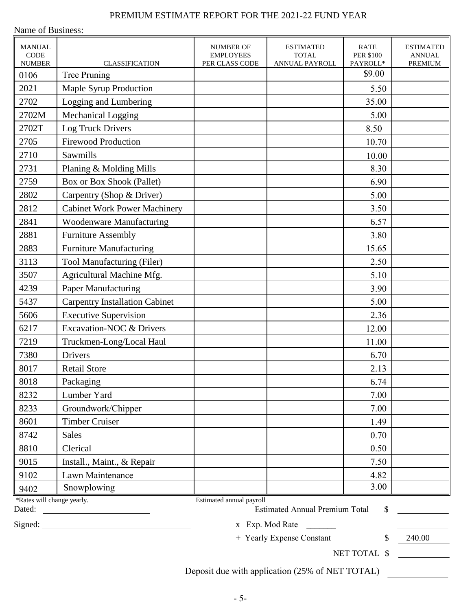# PREMIUM ESTIMATE REPORT FOR THE 2021-22 FUND YEAR

Name of Business:

| <b>MANUAL</b><br><b>CODE</b>                                                                            |                                       | <b>NUMBER OF</b><br><b>EMPLOYEES</b> | <b>ESTIMATED</b><br><b>TOTAL</b> | <b>RATE</b><br><b>PER \$100</b> | <b>ESTIMATED</b><br><b>ANNUAL</b> |
|---------------------------------------------------------------------------------------------------------|---------------------------------------|--------------------------------------|----------------------------------|---------------------------------|-----------------------------------|
| <b>NUMBER</b>                                                                                           | <b>CLASSIFICATION</b>                 | PER CLASS CODE                       | ANNUAL PAYROLL                   | PAYROLL*                        | <b>PREMIUM</b>                    |
| 0106                                                                                                    | <b>Tree Pruning</b>                   |                                      |                                  | \$9.00                          |                                   |
| 2021                                                                                                    | <b>Maple Syrup Production</b>         |                                      |                                  | 5.50                            |                                   |
| 2702                                                                                                    | Logging and Lumbering                 |                                      |                                  | 35.00                           |                                   |
| 2702M                                                                                                   | Mechanical Logging                    |                                      |                                  | 5.00                            |                                   |
| 2702T                                                                                                   | Log Truck Drivers                     |                                      |                                  | 8.50                            |                                   |
| 2705                                                                                                    | <b>Firewood Production</b>            |                                      |                                  | 10.70                           |                                   |
| 2710                                                                                                    | Sawmills                              |                                      |                                  | 10.00                           |                                   |
| 2731                                                                                                    | Planing & Molding Mills               |                                      |                                  | 8.30                            |                                   |
| 2759                                                                                                    | Box or Box Shook (Pallet)             |                                      |                                  | 6.90                            |                                   |
| 2802                                                                                                    | Carpentry (Shop & Driver)             |                                      |                                  | 5.00                            |                                   |
| 2812                                                                                                    | <b>Cabinet Work Power Machinery</b>   |                                      |                                  | 3.50                            |                                   |
| 2841                                                                                                    | <b>Woodenware Manufacturing</b>       |                                      |                                  | 6.57                            |                                   |
| 2881                                                                                                    | <b>Furniture Assembly</b>             |                                      |                                  | 3.80                            |                                   |
| 2883                                                                                                    | <b>Furniture Manufacturing</b>        |                                      |                                  | 15.65                           |                                   |
| 3113                                                                                                    | Tool Manufacturing (Filer)            |                                      |                                  | 2.50                            |                                   |
| 3507                                                                                                    | Agricultural Machine Mfg.             |                                      |                                  | 5.10                            |                                   |
| 4239                                                                                                    | Paper Manufacturing                   |                                      |                                  | 3.90                            |                                   |
| 5437                                                                                                    | <b>Carpentry Installation Cabinet</b> |                                      |                                  | 5.00                            |                                   |
| 5606                                                                                                    | <b>Executive Supervision</b>          |                                      |                                  | 2.36                            |                                   |
| 6217                                                                                                    | <b>Excavation-NOC &amp; Drivers</b>   |                                      |                                  | 12.00                           |                                   |
| 7219                                                                                                    | Truckmen-Long/Local Haul              |                                      |                                  | 11.00                           |                                   |
| 7380                                                                                                    | Drivers                               |                                      |                                  | 6.70                            |                                   |
| 8017                                                                                                    | <b>Retail Store</b>                   |                                      |                                  | 2.13                            |                                   |
| 8018                                                                                                    | Packaging                             |                                      |                                  | 6.74                            |                                   |
| 8232                                                                                                    | Lumber Yard                           |                                      |                                  | 7.00                            |                                   |
| 8233                                                                                                    | Groundwork/Chipper                    |                                      |                                  | 7.00                            |                                   |
| 8601                                                                                                    | <b>Timber Cruiser</b>                 |                                      |                                  | 1.49                            |                                   |
| 8742                                                                                                    | Sales                                 |                                      |                                  | 0.70                            |                                   |
| 8810                                                                                                    | Clerical                              |                                      |                                  | 0.50                            |                                   |
| 9015                                                                                                    | Install., Maint., & Repair            |                                      |                                  | 7.50                            |                                   |
| 9102                                                                                                    | Lawn Maintenance                      |                                      |                                  | 4.82                            |                                   |
| 9402                                                                                                    | Snowplowing                           |                                      |                                  | 3.00                            |                                   |
| *Rates will change yearly.                                                                              |                                       | Estimated annual payroll             |                                  |                                 |                                   |
| <b>Estimated Annual Premium Total</b><br>Dated:<br>\$<br><u> 1989 - Andrea State Barbara, poeta esp</u> |                                       |                                      |                                  |                                 |                                   |
|                                                                                                         |                                       |                                      | x Exp. Mod Rate                  |                                 |                                   |
|                                                                                                         |                                       |                                      | + Yearly Expense Constant        | \$                              | 240.00                            |

NET TOTAL \$

Deposit due with application (25% of NET TOTAL)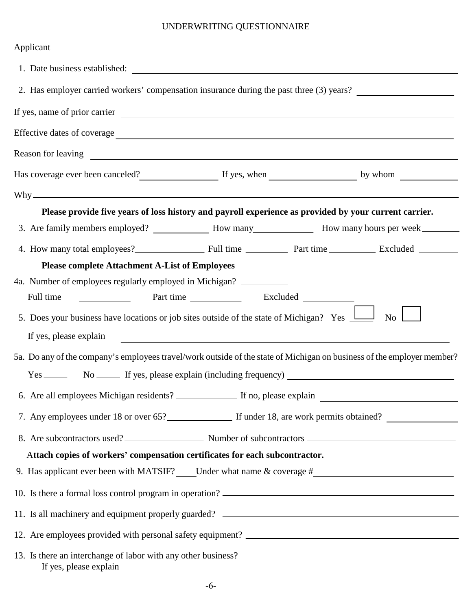# UNDERWRITING QUESTIONNAIRE

| Applicant<br><u> 1989 - Andrea Santa Andrea Santa Andrea Santa Andrea Santa Andrea Santa Andrea Santa Andrea Santa Andrea San</u>                                                                                              |  |    |
|--------------------------------------------------------------------------------------------------------------------------------------------------------------------------------------------------------------------------------|--|----|
|                                                                                                                                                                                                                                |  |    |
| 2. Has employer carried workers' compensation insurance during the past three (3) years?                                                                                                                                       |  |    |
| If yes, name of prior carrier                                                                                                                                                                                                  |  |    |
| Effective dates of coverage                                                                                                                                                                                                    |  |    |
|                                                                                                                                                                                                                                |  |    |
| Has coverage ever been canceled? If yes, when we have by whom when we have a set of the set of the set of the set of the set of the set of the set of the set of the set of the set of the set of the set of the set of the se |  |    |
| Why                                                                                                                                                                                                                            |  |    |
| Please provide five years of loss history and payroll experience as provided by your current carrier.                                                                                                                          |  |    |
|                                                                                                                                                                                                                                |  |    |
|                                                                                                                                                                                                                                |  |    |
| <b>Please complete Attachment A-List of Employees</b>                                                                                                                                                                          |  |    |
| 4a. Number of employees regularly employed in Michigan?                                                                                                                                                                        |  |    |
| Full time<br><u> 1990 - John Harry Barnett, f</u>                                                                                                                                                                              |  |    |
| 5. Does your business have locations or job sites outside of the state of Michigan? Yes 1                                                                                                                                      |  | No |
| If yes, please explain                                                                                                                                                                                                         |  |    |
| 5a. Do any of the company's employees travel/work outside of the state of Michigan on business of the employer member?                                                                                                         |  |    |
|                                                                                                                                                                                                                                |  |    |
|                                                                                                                                                                                                                                |  |    |
|                                                                                                                                                                                                                                |  |    |
|                                                                                                                                                                                                                                |  |    |
| 8. Are subcontractors used? Number of subcontractors Number of subcontractors Number of subcontractors Number of subcontractors Number of subcontractors Number of subcontractors Number of subcontractors Number of subcontra |  |    |
| Attach copies of workers' compensation certificates for each subcontractor.                                                                                                                                                    |  |    |
| 9. Has applicant ever been with MATSIF? Under what name & coverage #                                                                                                                                                           |  |    |
|                                                                                                                                                                                                                                |  |    |
| 11. Is all machinery and equipment properly guarded? ____________________________                                                                                                                                              |  |    |
|                                                                                                                                                                                                                                |  |    |
| 13. Is there an interchange of labor with any other business?<br><u> and</u> the same of labor with any other business?<br>If yes, please explain                                                                              |  |    |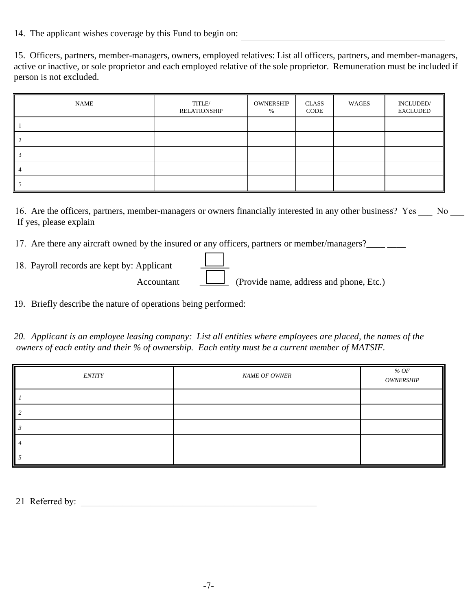14. The applicant wishes coverage by this Fund to begin on:

15. Officers, partners, member-managers, owners, employed relatives: List all officers, partners, and member**-**managers, active or inactive, or sole proprietor and each employed relative of the sole proprietor. Remuneration must be included if person is not excluded.

| <b>NAME</b> | TITLE/<br>RELATIONSHIP | OWNERSHIP<br>% | CLASS<br>CODE | WAGES | INCLUDED/<br><b>EXCLUDED</b> |
|-------------|------------------------|----------------|---------------|-------|------------------------------|
|             |                        |                |               |       |                              |
|             |                        |                |               |       |                              |
|             |                        |                |               |       |                              |
|             |                        |                |               |       |                              |
|             |                        |                |               |       |                              |

16. Are the officers, partners, member-managers or owners financially interested in any other business? Yes No If yes, please explain

17. Are there any aircraft owned by the insured or any officers, partners or member/managers?

18. Payroll records are kept by: Applicant Accountant (Provide name, address and phone, Etc.)

19. Briefly describe the nature of operations being performed:

*20. Applicant is an employee leasing company: List all entities where employees are placed, the names of the owners of each entity and their % of ownership. Each entity must be a current member of MATSIF.*

| <b>ENTITY</b> | NAME OF OWNER | % OF<br><b>OWNERSHIP</b> |
|---------------|---------------|--------------------------|
|               |               |                          |
|               |               |                          |
|               |               |                          |
|               |               |                          |
|               |               |                          |

21 Referred by: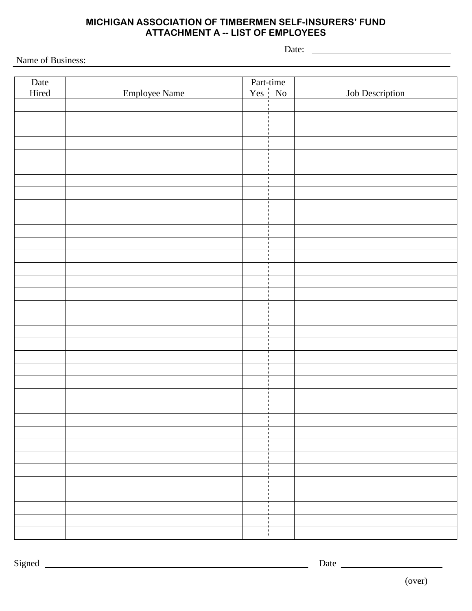#### **MICHIGAN ASSOCIATION OF TIMBERMEN SELF-INSURERS' FUND ATTACHMENT A -- LIST OF EMPLOYEES**

<u> 1980 - Johann Barn, mars ann an t-Amhain Aonaich an t-Aonaich an t-Aonaich ann an t-Aonaich ann an t-Aonaich</u>

Date:

Name of Business:

| Date  |                      | Part-time<br>Yes   No          |                        |
|-------|----------------------|--------------------------------|------------------------|
| Hired | <b>Employee Name</b> |                                | <b>Job Description</b> |
|       |                      |                                |                        |
|       |                      |                                |                        |
|       |                      |                                |                        |
|       |                      |                                |                        |
|       |                      |                                |                        |
|       |                      |                                |                        |
|       |                      |                                |                        |
|       |                      |                                |                        |
|       |                      |                                |                        |
|       |                      |                                |                        |
|       |                      |                                |                        |
|       |                      |                                |                        |
|       |                      |                                |                        |
|       |                      |                                |                        |
|       |                      |                                |                        |
|       |                      |                                |                        |
|       |                      |                                |                        |
|       |                      |                                |                        |
|       |                      |                                |                        |
|       |                      |                                |                        |
|       |                      |                                |                        |
|       |                      |                                |                        |
|       |                      |                                |                        |
|       |                      |                                |                        |
|       |                      |                                |                        |
|       |                      | $\mathbf{1}$                   |                        |
|       |                      |                                |                        |
|       |                      |                                |                        |
|       |                      |                                |                        |
|       |                      |                                |                        |
|       |                      |                                |                        |
|       |                      | $\blacksquare$                 |                        |
|       |                      | $\mathbf{I}$                   |                        |
|       |                      | $\mathbf{I}$<br>- 1            |                        |
|       |                      | $\blacksquare$<br>$\mathbf{L}$ |                        |
|       |                      |                                |                        |

Signed Date